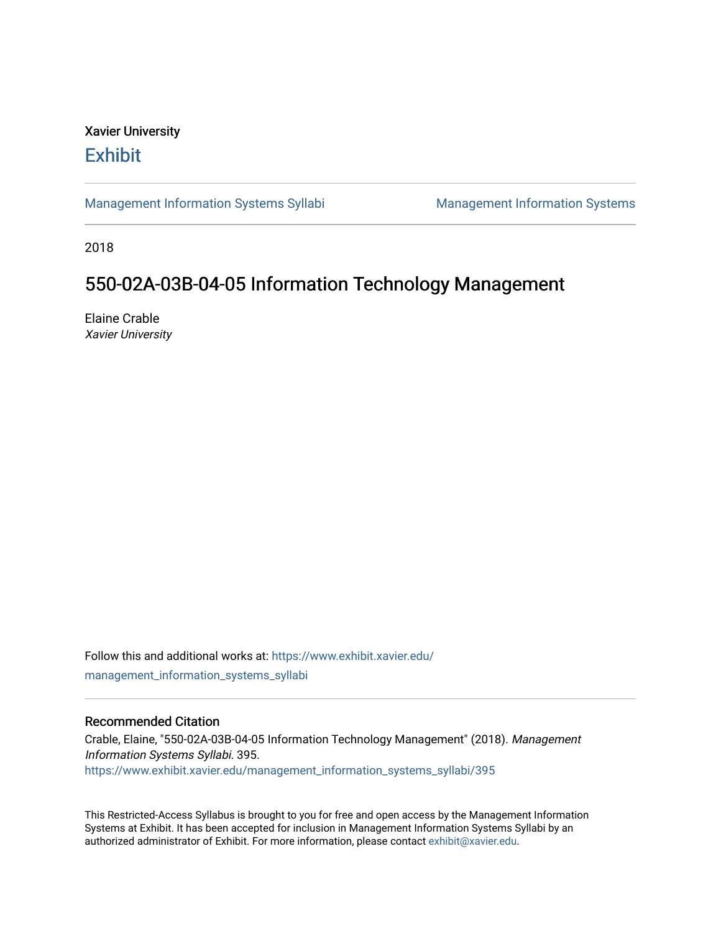## Xavier University **Exhibit**

[Management Information Systems Syllabi](https://www.exhibit.xavier.edu/management_information_systems_syllabi) Management Information Systems

2018

# 550-02A-03B-04-05 Information Technology Management

Elaine Crable Xavier University

Follow this and additional works at: [https://www.exhibit.xavier.edu/](https://www.exhibit.xavier.edu/management_information_systems_syllabi?utm_source=www.exhibit.xavier.edu%2Fmanagement_information_systems_syllabi%2F395&utm_medium=PDF&utm_campaign=PDFCoverPages) [management\\_information\\_systems\\_syllabi](https://www.exhibit.xavier.edu/management_information_systems_syllabi?utm_source=www.exhibit.xavier.edu%2Fmanagement_information_systems_syllabi%2F395&utm_medium=PDF&utm_campaign=PDFCoverPages) 

## Recommended Citation

Crable, Elaine, "550-02A-03B-04-05 Information Technology Management" (2018). Management Information Systems Syllabi. 395. [https://www.exhibit.xavier.edu/management\\_information\\_systems\\_syllabi/395](https://www.exhibit.xavier.edu/management_information_systems_syllabi/395?utm_source=www.exhibit.xavier.edu%2Fmanagement_information_systems_syllabi%2F395&utm_medium=PDF&utm_campaign=PDFCoverPages) 

This Restricted-Access Syllabus is brought to you for free and open access by the Management Information Systems at Exhibit. It has been accepted for inclusion in Management Information Systems Syllabi by an authorized administrator of Exhibit. For more information, please contact [exhibit@xavier.edu](mailto:exhibit@xavier.edu).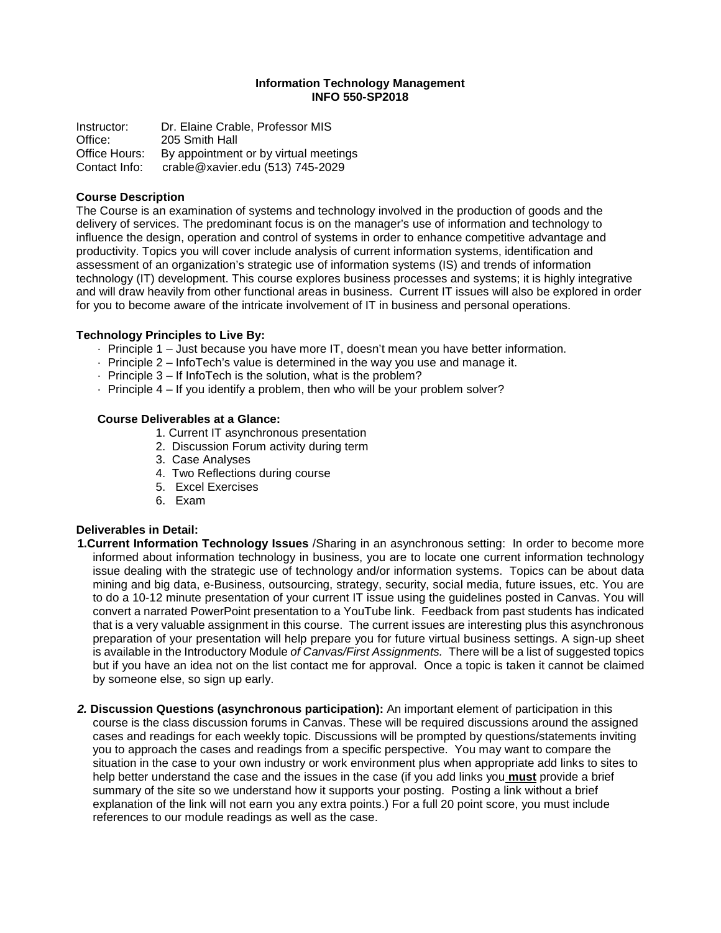#### **Information Technology Management INFO 550-SP2018**

Instructor: Dr. Elaine Crable, Professor MIS Office: 205 Smith Hall Office Hours: By appointment or by virtual meetings Contact Info: crable@xavier.edu (513) 745-2029

#### **Course Description**

The Course is an examination of systems and technology involved in the production of goods and the delivery of services. The predominant focus is on the manager's use of information and technology to influence the design, operation and control of systems in order to enhance competitive advantage and productivity. Topics you will cover include analysis of current information systems, identification and assessment of an organization's strategic use of information systems (IS) and trends of information technology (IT) development. This course explores business processes and systems; it is highly integrative and will draw heavily from other functional areas in business. Current IT issues will also be explored in order for you to become aware of the intricate involvement of IT in business and personal operations.

#### **Technology Principles to Live By:**

- · Principle 1 Just because you have more IT, doesn't mean you have better information.
- · Principle 2 InfoTech's value is determined in the way you use and manage it.
- · Principle 3 If InfoTech is the solution, what is the problem?
- · Principle 4 If you identify a problem, then who will be your problem solver?

#### **Course Deliverables at a Glance:**

- 1. Current IT asynchronous presentation
- 2. Discussion Forum activity during term
- 3. Case Analyses
- 4. Two Reflections during course
- 5. Excel Exercises
- 6. Exam

#### **Deliverables in Detail:**

- **1.Current Information Technology Issues** /Sharing in an asynchronous setting: In order to become more informed about information technology in business, you are to locate one current information technology issue dealing with the strategic use of technology and/or information systems. Topics can be about data mining and big data, e-Business, outsourcing, strategy, security, social media, future issues, etc. You are to do a 10-12 minute presentation of your current IT issue using the guidelines posted in Canvas. You will convert a narrated PowerPoint presentation to a YouTube link. Feedback from past students has indicated that is a very valuable assignment in this course. The current issues are interesting plus this asynchronous preparation of your presentation will help prepare you for future virtual business settings. A sign-up sheet is available in the Introductory Module *of Canvas/First Assignments.* There will be a list of suggested topics but if you have an idea not on the list contact me for approval. Once a topic is taken it cannot be claimed by someone else, so sign up early.
- *2.* **Discussion Questions (asynchronous participation):** An important element of participation in this course is the class discussion forums in Canvas. These will be required discussions around the assigned cases and readings for each weekly topic. Discussions will be prompted by questions/statements inviting you to approach the cases and readings from a specific perspective. You may want to compare the situation in the case to your own industry or work environment plus when appropriate add links to sites to help better understand the case and the issues in the case (if you add links you **must** provide a brief summary of the site so we understand how it supports your posting. Posting a link without a brief explanation of the link will not earn you any extra points.) For a full 20 point score, you must include references to our module readings as well as the case.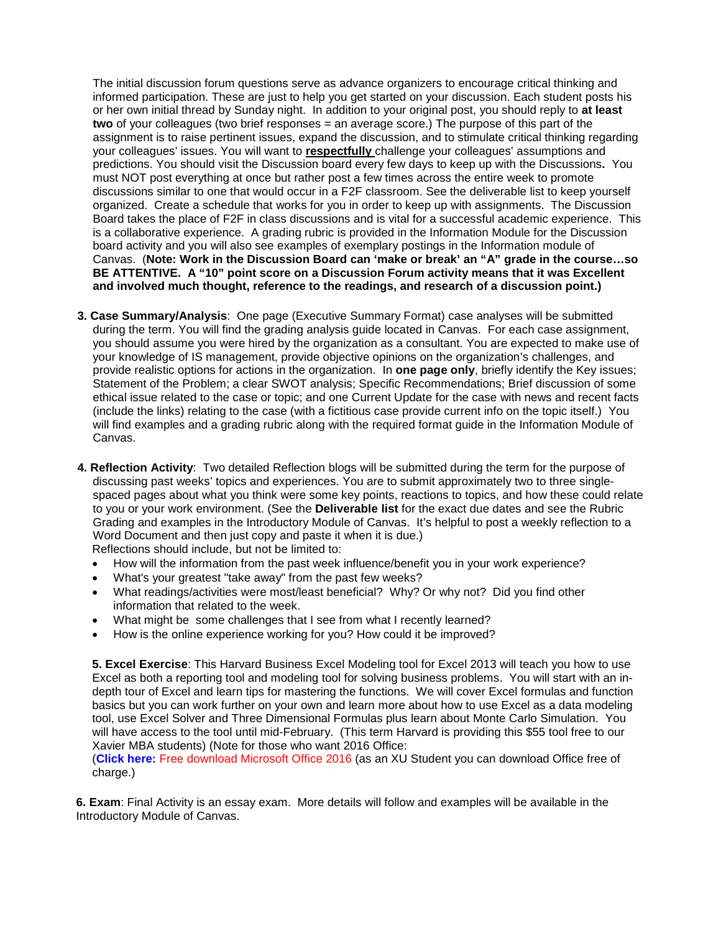The initial discussion forum questions serve as advance organizers to encourage critical thinking and informed participation. These are just to help you get started on your discussion. Each student posts his or her own initial thread by Sunday night. In addition to your original post, you should reply to **at least two** of your colleagues (two brief responses = an average score.) The purpose of this part of the assignment is to raise pertinent issues, expand the discussion, and to stimulate critical thinking regarding your colleagues' issues. You will want to **respectfully** challenge your colleagues' assumptions and predictions. You should visit the Discussion board every few days to keep up with the Discussions**.** You must NOT post everything at once but rather post a few times across the entire week to promote discussions similar to one that would occur in a F2F classroom. See the deliverable list to keep yourself organized. Create a schedule that works for you in order to keep up with assignments. The Discussion Board takes the place of F2F in class discussions and is vital for a successful academic experience. This is a collaborative experience. A grading rubric is provided in the Information Module for the Discussion board activity and you will also see examples of exemplary postings in the Information module of Canvas. (**Note: Work in the Discussion Board can 'make or break' an "A" grade in the course…so BE ATTENTIVE. A "10" point score on a Discussion Forum activity means that it was Excellent and involved much thought, reference to the readings, and research of a discussion point.)**

- **3. Case Summary/Analysis**: One page (Executive Summary Format) case analyses will be submitted during the term. You will find the grading analysis guide located in Canvas. For each case assignment, you should assume you were hired by the organization as a consultant. You are expected to make use of your knowledge of IS management, provide objective opinions on the organization's challenges, and provide realistic options for actions in the organization. In **one page only**, briefly identify the Key issues; Statement of the Problem; a clear SWOT analysis; Specific Recommendations; Brief discussion of some ethical issue related to the case or topic; and one Current Update for the case with news and recent facts (include the links) relating to the case (with a fictitious case provide current info on the topic itself.) You will find examples and a grading rubric along with the required format guide in the Information Module of Canvas.
- **4. Reflection Activity**: Two detailed Reflection blogs will be submitted during the term for the purpose of discussing past weeks' topics and experiences. You are to submit approximately two to three singlespaced pages about what you think were some key points, reactions to topics, and how these could relate to you or your work environment. (See the **Deliverable list** for the exact due dates and see the Rubric Grading and examples in the Introductory Module of Canvas. It's helpful to post a weekly reflection to a Word Document and then just copy and paste it when it is due.) Reflections should include, but not be limited to:
	- How will the information from the past week influence/benefit you in your work experience?
	- What's your greatest "take away" from the past few weeks?
	- What readings/activities were most/least beneficial? Why? Or why not? Did you find other information that related to the week.
	- What might be some challenges that I see from what I recently learned?
	- How is the online experience working for you? How could it be improved?

**5. Excel Exercise**: This Harvard Business Excel Modeling tool for Excel 2013 will teach you how to use Excel as both a reporting tool and modeling tool for solving business problems. You will start with an indepth tour of Excel and learn tips for mastering the functions. We will cover Excel formulas and function basics but you can work further on your own and learn more about how to use Excel as a data modeling tool, use Excel Solver and Three Dimensional Formulas plus learn about Monte Carlo Simulation. You will have access to the tool until mid-February. (This term Harvard is providing this \$55 tool free to our Xavier MBA students) (Note for those who want 2016 Office:

(**[Click here:](https://canvas.xavier.edu/courses/22885/files/1614848/download?wrap=1)** Free download Microsoft Office 2016 (as an XU Student you can download Office free of charge.)

**6. Exam**: Final Activity is an essay exam. More details will follow and examples will be available in the Introductory Module of Canvas.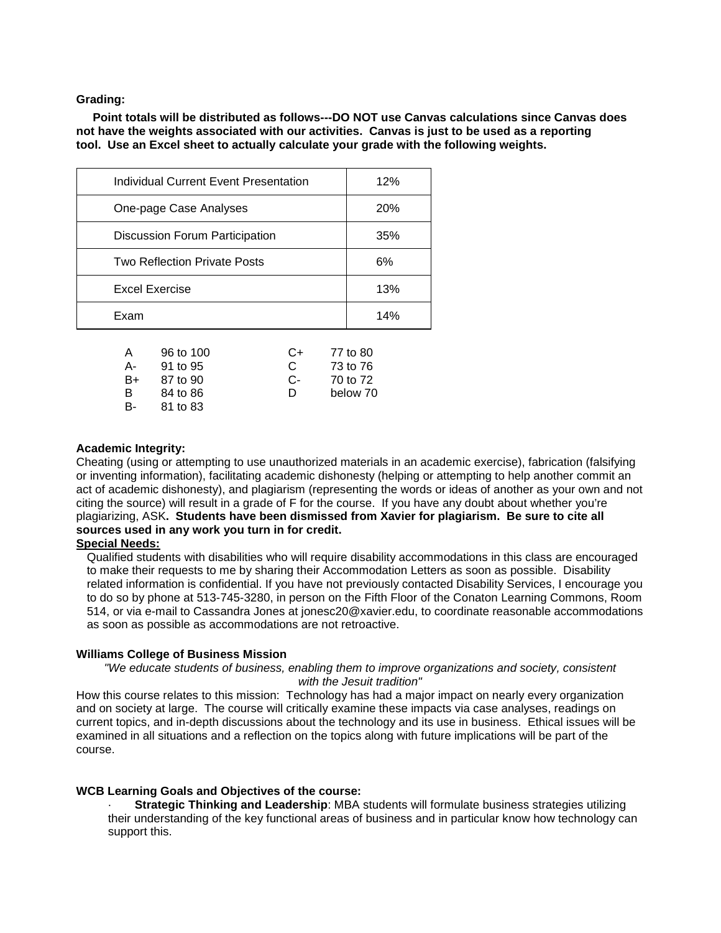**Grading:**

**Point totals will be distributed as follows---DO NOT use Canvas calculations since Canvas does not have the weights associated with our activities. Canvas is just to be used as a reporting tool. Use an Excel sheet to actually calculate your grade with the following weights.**

| Individual Current Event Presentation | 12%        |
|---------------------------------------|------------|
| One-page Case Analyses                | <b>20%</b> |
| Discussion Forum Participation        | 35%        |
| <b>Two Reflection Private Posts</b>   | 6%         |
| Excel Exercise                        | 13%        |
| Exam                                  | 14%        |

| $\overline{A}$ | 96 to 100 | $C+$ | 77 to 80 |
|----------------|-----------|------|----------|
| А-             | 91 to 95  | C.   | 73 to 76 |
| B+             | 87 to 90  | C-   | 70 to 72 |
| B              | 84 to 86  | D    | below 70 |
| B-             | 81 to 83  |      |          |

#### **Academic Integrity:**

Cheating (using or attempting to use unauthorized materials in an academic exercise), fabrication (falsifying or inventing information), facilitating academic dishonesty (helping or attempting to help another commit an act of academic dishonesty), and plagiarism (representing the words or ideas of another as your own and not citing the source) will result in a grade of F for the course. If you have any doubt about whether you're plagiarizing, ASK**. Students have been dismissed from Xavier for plagiarism. Be sure to cite all sources used in any work you turn in for credit.**

## **Special Needs:**

Qualified students with disabilities who will require disability accommodations in this class are encouraged to make their requests to me by sharing their Accommodation Letters as soon as possible. Disability related information is confidential. If you have not previously contacted Disability Services, I encourage you to do so by phone at 513-745-3280, in person on the Fifth Floor of the Conaton Learning Commons, Room 514, or via e-mail to Cassandra Jones at jonesc20@xavier.edu, to coordinate reasonable accommodations as soon as possible as accommodations are not retroactive.

#### **Williams College of Business Mission**

*"We educate students of business, enabling them to improve organizations and society, consistent with the Jesuit tradition"*

How this course relates to this mission: Technology has had a major impact on nearly every organization and on society at large. The course will critically examine these impacts via case analyses, readings on current topics, and in-depth discussions about the technology and its use in business. Ethical issues will be examined in all situations and a reflection on the topics along with future implications will be part of the course.

#### **WCB Learning Goals and Objectives of the course:**

· **Strategic Thinking and Leadership**: MBA students will formulate business strategies utilizing their understanding of the key functional areas of business and in particular know how technology can support this.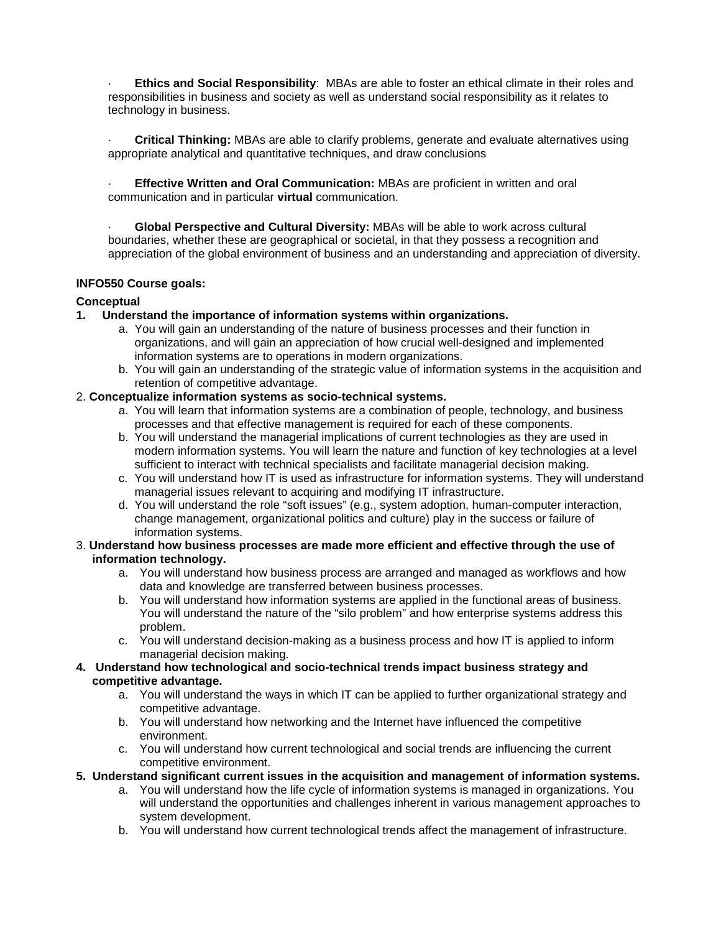· **Ethics and Social Responsibility**: MBAs are able to foster an ethical climate in their roles and responsibilities in business and society as well as understand social responsibility as it relates to technology in business.

· **Critical Thinking:** MBAs are able to clarify problems, generate and evaluate alternatives using appropriate analytical and quantitative techniques, and draw conclusions

**Effective Written and Oral Communication:** MBAs are proficient in written and oral communication and in particular **virtual** communication.

· **Global Perspective and Cultural Diversity:** MBAs will be able to work across cultural boundaries, whether these are geographical or societal, in that they possess a recognition and appreciation of the global environment of business and an understanding and appreciation of diversity.

## **INFO550 Course goals:**

#### **Conceptual**

- **1. Understand the importance of information systems within organizations.**
	- a. You will gain an understanding of the nature of business processes and their function in organizations, and will gain an appreciation of how crucial well-designed and implemented information systems are to operations in modern organizations.
	- b. You will gain an understanding of the strategic value of information systems in the acquisition and retention of competitive advantage.

## 2. **Conceptualize information systems as socio-technical systems.**

- a. You will learn that information systems are a combination of people, technology, and business processes and that effective management is required for each of these components.
- b. You will understand the managerial implications of current technologies as they are used in modern information systems. You will learn the nature and function of key technologies at a level sufficient to interact with technical specialists and facilitate managerial decision making.
- c. You will understand how IT is used as infrastructure for information systems. They will understand managerial issues relevant to acquiring and modifying IT infrastructure.
- d. You will understand the role "soft issues" (e.g., system adoption, human-computer interaction, change management, organizational politics and culture) play in the success or failure of information systems.
- 3. **Understand how business processes are made more efficient and effective through the use of information technology.**
	- a. You will understand how business process are arranged and managed as workflows and how data and knowledge are transferred between business processes.
	- b. You will understand how information systems are applied in the functional areas of business. You will understand the nature of the "silo problem" and how enterprise systems address this problem.
	- c. You will understand decision-making as a business process and how IT is applied to inform managerial decision making.
- **4. Understand how technological and socio-technical trends impact business strategy and competitive advantage.**
	- a. You will understand the ways in which IT can be applied to further organizational strategy and competitive advantage.
	- b. You will understand how networking and the Internet have influenced the competitive environment.
	- c. You will understand how current technological and social trends are influencing the current competitive environment.
- **5. Understand significant current issues in the acquisition and management of information systems.**
	- a. You will understand how the life cycle of information systems is managed in organizations. You will understand the opportunities and challenges inherent in various management approaches to system development.
	- b. You will understand how current technological trends affect the management of infrastructure.